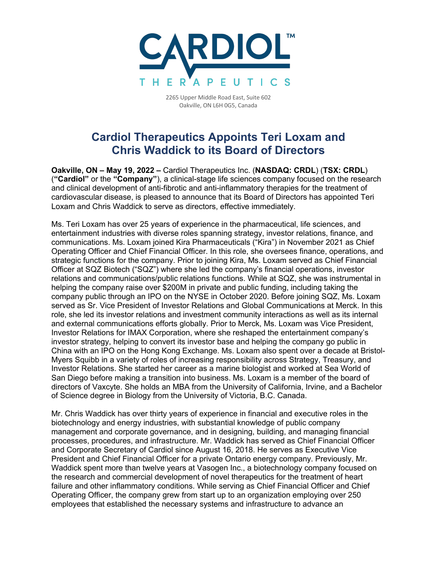

2265 Upper Middle Road East, Suite 602 Oakville, ON L6H 0G5, Canada

## **Cardiol Therapeutics Appoints Teri Loxam and Chris Waddick to its Board of Directors**

**Oakville, ON – May 19, 2022 –** Cardiol Therapeutics Inc. (**NASDAQ: CRDL**) (**TSX: CRDL**) (**"Cardiol"** or the **"Company"**), a clinical-stage life sciences company focused on the research and clinical development of anti-fibrotic and anti-inflammatory therapies for the treatment of cardiovascular disease, is pleased to announce that its Board of Directors has appointed Teri Loxam and Chris Waddick to serve as directors, effective immediately.

Ms. Teri Loxam has over 25 years of experience in the pharmaceutical, life sciences, and entertainment industries with diverse roles spanning strategy, investor relations, finance, and communications. Ms. Loxam joined Kira Pharmaceuticals ("Kira") in November 2021 as Chief Operating Officer and Chief Financial Officer. In this role, she oversees finance, operations, and strategic functions for the company. Prior to joining Kira, Ms. Loxam served as Chief Financial Officer at SQZ Biotech ("SQZ") where she led the company's financial operations, investor relations and communications/public relations functions. While at SQZ, she was instrumental in helping the company raise over \$200M in private and public funding, including taking the company public through an IPO on the NYSE in October 2020. Before joining SQZ, Ms. Loxam served as Sr. Vice President of Investor Relations and Global Communications at Merck. In this role, she led its investor relations and investment community interactions as well as its internal and external communications efforts globally. Prior to Merck, Ms. Loxam was Vice President, Investor Relations for IMAX Corporation, where she reshaped the entertainment company's investor strategy, helping to convert its investor base and helping the company go public in China with an IPO on the Hong Kong Exchange. Ms. Loxam also spent over a decade at Bristol-Myers Squibb in a variety of roles of increasing responsibility across Strategy, Treasury, and Investor Relations. She started her career as a marine biologist and worked at Sea World of San Diego before making a transition into business. Ms. Loxam is a member of the board of directors of Vaxcyte. She holds an MBA from the University of California, Irvine, and a Bachelor of Science degree in Biology from the University of Victoria, B.C. Canada.

Mr. Chris Waddick has over thirty years of experience in financial and executive roles in the biotechnology and energy industries, with substantial knowledge of public company management and corporate governance, and in designing, building, and managing financial processes, procedures, and infrastructure. Mr. Waddick has served as Chief Financial Officer and Corporate Secretary of Cardiol since August 16, 2018. He serves as Executive Vice President and Chief Financial Officer for a private Ontario energy company. Previously, Mr. Waddick spent more than twelve years at Vasogen Inc., a biotechnology company focused on the research and commercial development of novel therapeutics for the treatment of heart failure and other inflammatory conditions. While serving as Chief Financial Officer and Chief Operating Officer, the company grew from start up to an organization employing over 250 employees that established the necessary systems and infrastructure to advance an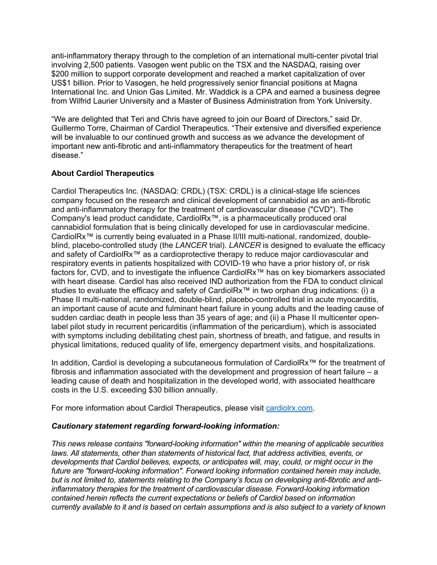anti-inflammatory therapy through to the completion of an international multi-center pivotal trial involving 2,500 patients. Vasogen went public on the TSX and the NASDAQ, raising over \$200 million to support corporate development and reached a market capitalization of over US\$1 billion. Prior to Vasogen, he held progressively senior financial positions at Magna International Inc. and Union Gas Limited. Mr. Waddick is a CPA and earned a business degree from Wilfrid Laurier University and a Master of Business Administration from York University.

"We are delighted that Teri and Chris have agreed to join our Board of Directors," said Dr. Guillermo Torre, Chairman of Cardiol Therapeutics. "Their extensive and diversified experience will be invaluable to our continued growth and success as we advance the development of important new anti-fibrotic and anti-inflammatory therapeutics for the treatment of heart disease."

## **About Cardiol Therapeutics**

Cardiol Therapeutics Inc. (NASDAQ: CRDL) (TSX: CRDL) is a clinical-stage life sciences company focused on the research and clinical development of cannabidiol as an anti-fibrotic and anti-inflammatory therapy for the treatment of cardiovascular disease ("CVD"). The Company's lead product candidate, CardiolRx™, is a pharmaceutically produced oral cannabidiol formulation that is being clinically developed for use in cardiovascular medicine. CardiolRx™ is currently being evaluated in a Phase II/III multi-national, randomized, doubleblind, placebo-controlled study (the *LANCER* trial). *LANCER* is designed to evaluate the efficacy and safety of CardiolRx™ as a cardioprotective therapy to reduce major cardiovascular and respiratory events in patients hospitalized with COVID-19 who have a prior history of, or risk factors for, CVD, and to investigate the influence CardiolRx™ has on key biomarkers associated with heart disease. Cardiol has also received IND authorization from the FDA to conduct clinical studies to evaluate the efficacy and safety of CardiolRx<sup>™</sup> in two orphan drug indications: (i) a Phase II multi-national, randomized, double-blind, placebo-controlled trial in acute myocarditis, an important cause of acute and fulminant heart failure in young adults and the leading cause of sudden cardiac death in people less than 35 years of age; and (ii) a Phase II multicenter openlabel pilot study in recurrent pericarditis (inflammation of the pericardium), which is associated with symptoms including debilitating chest pain, shortness of breath, and fatigue, and results in physical limitations, reduced quality of life, emergency department visits, and hospitalizations.

In addition, Cardiol is developing a subcutaneous formulation of CardiolRx™ for the treatment of fibrosis and inflammation associated with the development and progression of heart failure – a leading cause of death and hospitalization in the developed world, with associated healthcare costs in the U.S. exceeding \$30 billion annually.

For more information about Cardiol Therapeutics, please visit cardiolrx.com.

## *Cautionary statement regarding forward-looking information:*

*This news release contains "forward-looking information" within the meaning of applicable securities laws. All statements, other than statements of historical fact, that address activities, events, or developments that Cardiol believes, expects, or anticipates will, may, could, or might occur in the future are "forward-looking information". Forward looking information contained herein may include, but is not limited to, statements relating to the Company's focus on developing anti-fibrotic and antiinflammatory therapies for the treatment of cardiovascular disease. Forward-looking information contained herein reflects the current expectations or beliefs of Cardiol based on information currently available to it and is based on certain assumptions and is also subject to a variety of known*